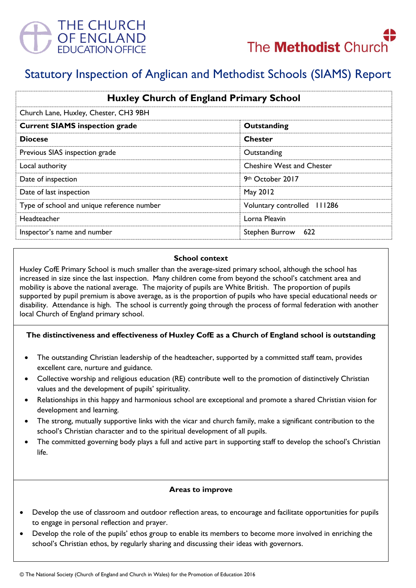



# Statutory Inspection of Anglican and Methodist Schools (SIAMS) Report

| <b>Huxley Church of England Primary School</b><br>Church Lane, Huxley, Chester, CH3 9BH |                                  |
|-----------------------------------------------------------------------------------------|----------------------------------|
|                                                                                         |                                  |
| <b>Diocese</b>                                                                          | <b>Chester</b>                   |
| Previous SIAS inspection grade                                                          | Outstanding                      |
| Local authority                                                                         | <b>Cheshire West and Chester</b> |
| Date of inspection                                                                      | 9th October 2017                 |
| Date of last inspection                                                                 | May 2012                         |
| Type of school and unique reference number                                              | Voluntary controlled 111286      |
| <b>Headteacher</b>                                                                      | Lorna Pleavin                    |
| Inspector's name and number                                                             | Stephen Burrow 622               |

#### **School context**

Huxley CofE Primary School is much smaller than the average-sized primary school, although the school has increased in size since the last inspection. Many children come from beyond the school's catchment area and mobility is above the national average. The majority of pupils are White British. The proportion of pupils supported by pupil premium is above average, as is the proportion of pupils who have special educational needs or disability. Attendance is high. The school is currently going through the process of formal federation with another local Church of England primary school.

# **The distinctiveness and effectiveness of Huxley CofE as a Church of England school is outstanding**

- The outstanding Christian leadership of the headteacher, supported by a committed staff team, provides excellent care, nurture and guidance.
- Collective worship and religious education (RE) contribute well to the promotion of distinctively Christian values and the development of pupils' spirituality.
- Relationships in this happy and harmonious school are exceptional and promote a shared Christian vision for development and learning.
- The strong, mutually supportive links with the vicar and church family, make a significant contribution to the school's Christian character and to the spiritual development of all pupils.
- The committed governing body plays a full and active part in supporting staff to develop the school's Christian life.

#### **Areas to improve**

- Develop the use of classroom and outdoor reflection areas, to encourage and facilitate opportunities for pupils to engage in personal reflection and prayer.
- Develop the role of the pupils' ethos group to enable its members to become more involved in enriching the school's Christian ethos, by regularly sharing and discussing their ideas with governors.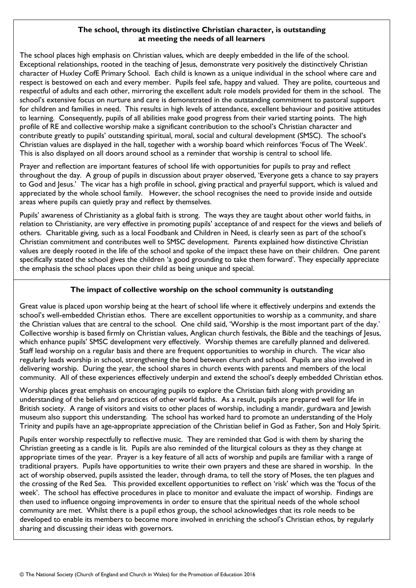## **The school, through its distinctive Christian character, is outstanding at meeting the needs of all learners**

The school places high emphasis on Christian values, which are deeply embedded in the life of the school. Exceptional relationships, rooted in the teaching of Jesus, demonstrate very positively the distinctively Christian character of Huxley CofE Primary School. Each child is known as a unique individual in the school where care and respect is bestowed on each and every member. Pupils feel safe, happy and valued. They are polite, courteous and respectful of adults and each other, mirroring the excellent adult role models provided for them in the school. The school's extensive focus on nurture and care is demonstrated in the outstanding commitment to pastoral support for children and families in need. This results in high levels of attendance, excellent behaviour and positive attitudes to learning. Consequently, pupils of all abilities make good progress from their varied starting points. The high profile of RE and collective worship make a significant contribution to the school's Christian character and contribute greatly to pupils' outstanding spiritual, moral, social and cultural development (SMSC). The school's Christian values are displayed in the hall, together with a worship board which reinforces 'Focus of The Week'. This is also displayed on all doors around school as a reminder that worship is central to school life.

Prayer and reflection are important features of school life with opportunities for pupils to pray and reflect throughout the day. A group of pupils in discussion about prayer observed, 'Everyone gets a chance to say prayers to God and Jesus.' The vicar has a high profile in school, giving practical and prayerful support, which is valued and appreciated by the whole school family. However, the school recognises the need to provide inside and outside areas where pupils can quietly pray and reflect by themselves.

Pupils' awareness of Christianity as a global faith is strong. The ways they are taught about other world faiths, in relation to Christianity, are very effective in promoting pupils' acceptance of and respect for the views and beliefs of others. Charitable giving, such as a local Foodbank and Children in Need, is clearly seen as part of the school's Christian commitment and contributes well to SMSC development. Parents explained how distinctive Christian values are deeply rooted in the life of the school and spoke of the impact these have on their children. One parent specifically stated the school gives the children 'a good grounding to take them forward'. They especially appreciate the emphasis the school places upon their child as being unique and special.

# **The impact of collective worship on the school community is outstanding**

Great value is placed upon worship being at the heart of school life where it effectively underpins and extends the school's well-embedded Christian ethos. There are excellent opportunities to worship as a community, and share the Christian values that are central to the school. One child said, 'Worship is the most important part of the day.' Collective worship is based firmly on Christian values, Anglican church festivals, the Bible and the teachings of Jesus, which enhance pupils' SMSC development very effectively. Worship themes are carefully planned and delivered. Staff lead worship on a regular basis and there are frequent opportunities to worship in church. The vicar also regularly leads worship in school, strengthening the bond between church and school. Pupils are also involved in delivering worship. During the year, the school shares in church events with parents and members of the local community. All of these experiences effectively underpin and extend the school's deeply embedded Christian ethos.

Worship places great emphasis on encouraging pupils to explore the Christian faith along with providing an understanding of the beliefs and practices of other world faiths. As a result, pupils are prepared well for life in British society. A range of visitors and visits to other places of worship, including a mandir, gurdwara and Jewish museum also support this understanding. The school has worked hard to promote an understanding of the Holy Trinity and pupils have an age-appropriate appreciation of the Christian belief in God as Father, Son and Holy Spirit.

Pupils enter worship respectfully to reflective music. They are reminded that God is with them by sharing the Christian greeting as a candle is lit. Pupils are also reminded of the liturgical colours as they as they change at appropriate times of the year. Prayer is a key feature of all acts of worship and pupils are familiar with a range of traditional prayers. Pupils have opportunities to write their own prayers and these are shared in worship. In the act of worship observed, pupils assisted the leader, through drama, to tell the story of Moses, the ten plagues and the crossing of the Red Sea. This provided excellent opportunities to reflect on 'risk' which was the 'focus of the week'. The school has effective procedures in place to monitor and evaluate the impact of worship. Findings are then used to influence ongoing improvements in order to ensure that the spiritual needs of the whole school community are met. Whilst there is a pupil ethos group, the school acknowledges that its role needs to be developed to enable its members to become more involved in enriching the school's Christian ethos, by regularly sharing and discussing their ideas with governors.